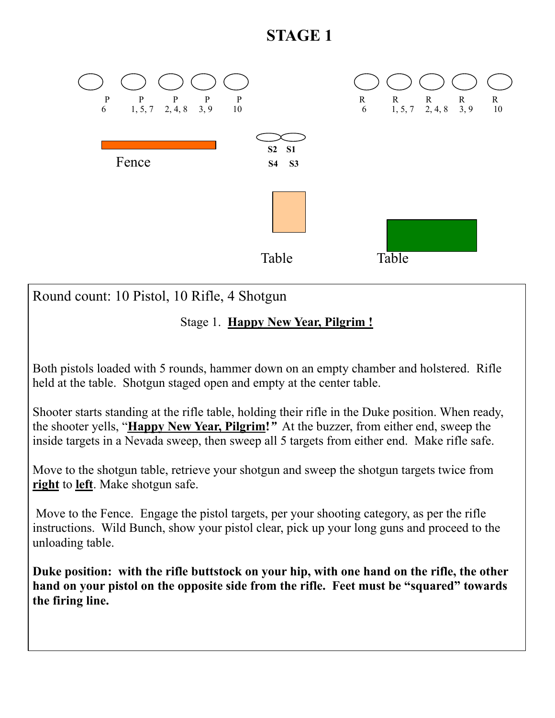## **STAGE 1**



Round count: 10 Pistol, 10 Rifle, 4 Shotgun

Stage 1. **Happy New Year, Pilgrim !** 

Both pistols loaded with 5 rounds, hammer down on an empty chamber and holstered. Rifle held at the table. Shotgun staged open and empty at the center table.

Shooter starts standing at the rifle table, holding their rifle in the Duke position. When ready, the shooter yells, "**Happy New Year, Pilgrim!***"* At the buzzer, from either end, sweep the inside targets in a Nevada sweep, then sweep all 5 targets from either end. Make rifle safe.

Move to the shotgun table, retrieve your shotgun and sweep the shotgun targets twice from **right** to **left**. Make shotgun safe.

 Move to the Fence. Engage the pistol targets, per your shooting category, as per the rifle instructions. Wild Bunch, show your pistol clear, pick up your long guns and proceed to the unloading table.

**Duke position: with the rifle buttstock on your hip, with one hand on the rifle, the other hand on your pistol on the opposite side from the rifle. Feet must be "squared" towards the firing line.**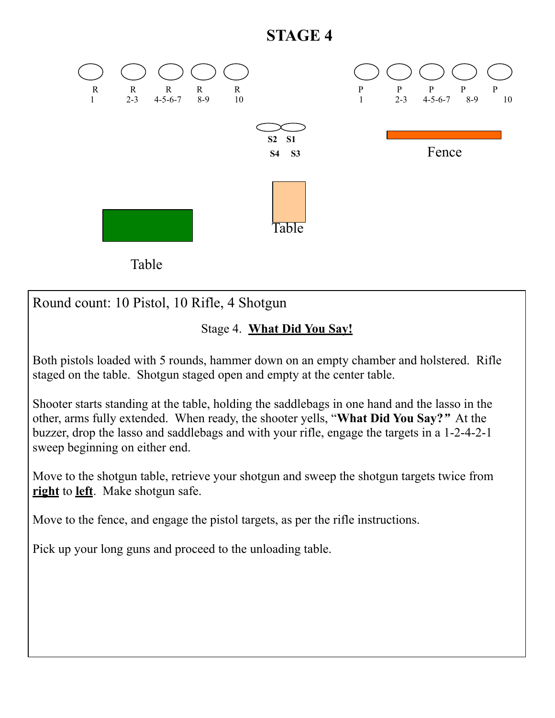## **STAGE 4**



Round count: 10 Pistol, 10 Rifle, 4 Shotgun

## Stage 4. **What Did You Say!**

Both pistols loaded with 5 rounds, hammer down on an empty chamber and holstered. Rifle staged on the table. Shotgun staged open and empty at the center table.

Shooter starts standing at the table, holding the saddlebags in one hand and the lasso in the other, arms fully extended. When ready, the shooter yells, "**What Did You Say?***"* At the buzzer, drop the lasso and saddlebags and with your rifle, engage the targets in a 1-2-4-2-1 sweep beginning on either end.

Move to the shotgun table, retrieve your shotgun and sweep the shotgun targets twice from **right** to **left**. Make shotgun safe.

Move to the fence, and engage the pistol targets, as per the rifle instructions.

Pick up your long guns and proceed to the unloading table.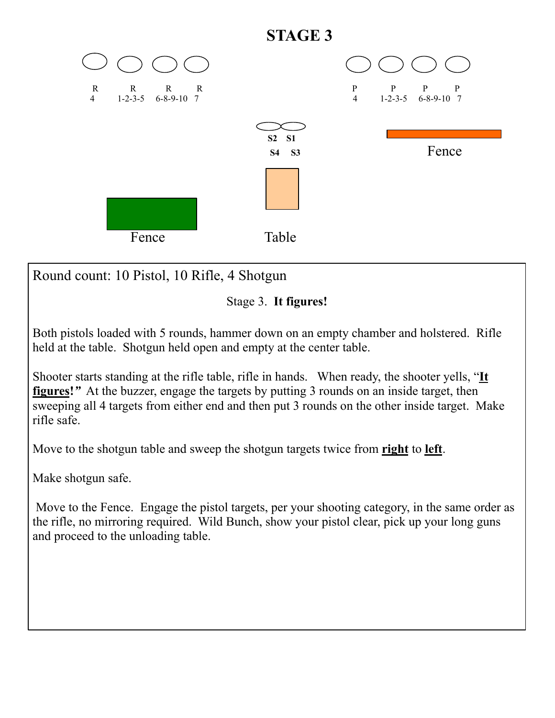

Round count: 10 Pistol, 10 Rifle, 4 Shotgun

Stage 3. **It figures!**

Both pistols loaded with 5 rounds, hammer down on an empty chamber and holstered. Rifle held at the table. Shotgun held open and empty at the center table.

Shooter starts standing at the rifle table, rifle in hands. When ready, the shooter yells, "**It figures!***"* At the buzzer, engage the targets by putting 3 rounds on an inside target, then sweeping all 4 targets from either end and then put 3 rounds on the other inside target. Make rifle safe.

Move to the shotgun table and sweep the shotgun targets twice from **right** to **left**.

Make shotgun safe.

 Move to the Fence. Engage the pistol targets, per your shooting category, in the same order as the rifle, no mirroring required. Wild Bunch, show your pistol clear, pick up your long guns and proceed to the unloading table.